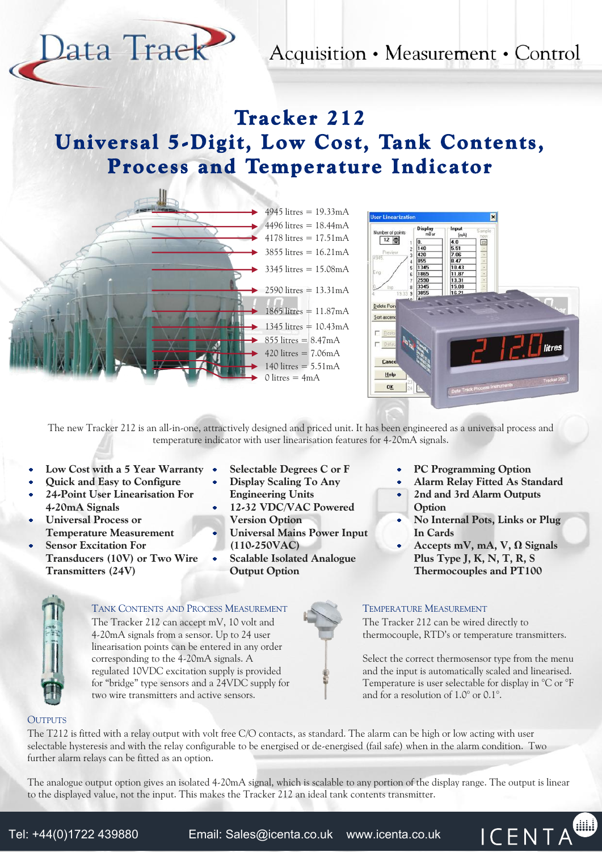Acquisition • Measurement • Control

# Tracker 212 Universal 5-Digit, Low Cost, Tank Contents, Process and Temperature Indicator



lata Traek



The new Tracker 212 is an all-in-one, attractively designed and priced unit. It has been engineered as a universal process and temperature indicator with user linearisation features for 4-20mA signals.

- Low Cost with a 5 Year Warranty •
- Quick and Easy to Configure
- 24-Point User Linearisation For 4-20mA Signals
- Universal Process or Temperature Measurement
- Sensor Excitation For Transducers (10V) or Two Wire Transmitters (24V)
- Selectable Degrees C or F
- Display Scaling To Any Engineering Units
- 12-32 VDC/VAC Powered Version Option
- Universal Mains Power Input (110-250VAC)
- Scalable Isolated Analogue Output Option



- Alarm Relay Fitted As Standard
- 2nd and 3rd Alarm Outputs Option
- No Internal Pots, Links or Plug In Cards
- Accepts mV, mA, V, Ω Signals  $\bullet$ Plus Type J, K, N, T, R, S Thermocouples and PT100

# TANK CONTENTS AND PROCESS MEASUREMENT The Tracker 212 can accept mV, 10 volt and

4-20mA signals from a sensor. Up to 24 user linearisation points can be entered in any order corresponding to the 4-20mA signals. A regulated 10VDC excitation supply is provided for "bridge" type sensors and a 24VDC supply for two wire transmitters and active sensors.

# TEMPERATURE MEASUREMENT

The Tracker 212 can be wired directly to thermocouple, RTD's or temperature transmitters.

Select the correct thermosensor type from the menu and the input is automatically scaled and linearised. Temperature is user selectable for display in °C or °F and for a resolution of 1.0° or 0.1°.

**Aug** 

**ICENTA** 

# **OUTPUTS**

The T212 is fitted with a relay output with volt free C/O contacts, as standard. The alarm can be high or low acting with user selectable hysteresis and with the relay configurable to be energised or de-energised (fail safe) when in the alarm condition. Two further alarm relays can be fitted as an option.

The analogue output option gives an isolated 4-20mA signal, which is scalable to any portion of the display range. The output is linear to the displayed value, not the input. This makes the Tracker 212 an ideal tank contents transmitter.

Tel: +44(0)1722 439880 Email: [Sales@icenta.co.uk](mailto:Sales@icenta.co.uk) [www.icenta.co.uk](http://www.icenta.co.uk)